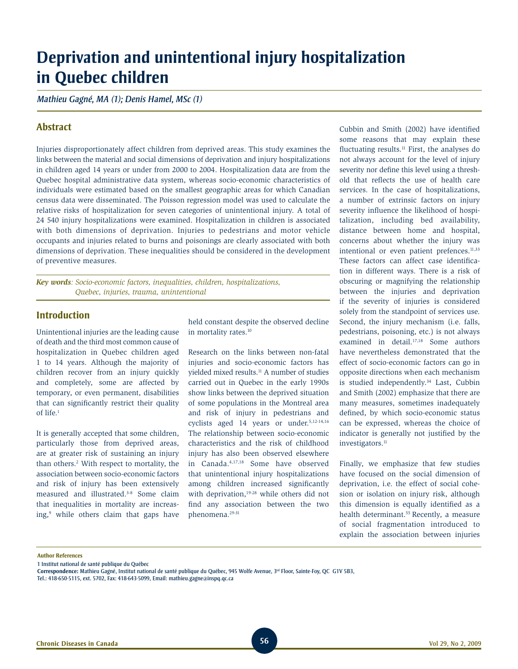# **Deprivation and unintentional injury hospitalization in Quebec children**

*Mathieu Gagné, MA (1); Denis Hamel, MSc (1)*

# **Abstract**

Injuries disproportionately affect children from deprived areas. This study examines the links between the material and social dimensions of deprivation and injury hospitalizations in children aged 14 years or under from 2000 to 2004. Hospitalization data are from the Quebec hospital administrative data system, whereas socio-economic characteristics of individuals were estimated based on the smallest geographic areas for which Canadian census data were disseminated. The Poisson regression model was used to calculate the relative risks of hospitalization for seven categories of unintentional injury. A total of 24 540 injury hospitalizations were examined. Hospitalization in children is associated with both dimensions of deprivation. Injuries to pedestrians and motor vehicle occupants and injuries related to burns and poisonings are clearly associated with both dimensions of deprivation. These inequalities should be considered in the development of preventive measures.

*Key words: Socio-economic factors, inequalities, children, hospitalizations, Quebec, injuries, trauma, unintentional* 

# **Introduction**

Unintentional injuries are the leading cause of death and the third most common cause of hospitalization in Quebec children aged 1 to 14 years. Although the majority of children recover from an injury quickly and completely, some are affected by temporary, or even permanent, disabilities that can significantly restrict their quality of life.1

It is generally accepted that some children, particularly those from deprived areas, are at greater risk of sustaining an injury than others.2 With respect to mortality, the association between socio-economic factors and risk of injury has been extensively measured and illustrated.<sup>3-8</sup> Some claim that inequalities in mortality are increasing,9 while others claim that gaps have held constant despite the observed decline in mortality rates.10

Research on the links between non-fatal injuries and socio-economic factors has yielded mixed results.11 A number of studies carried out in Quebec in the early 1990s show links between the deprived situation of some populations in the Montreal area and risk of injury in pedestrians and cyclists aged 14 years or under.5,12-14,16 The relationship between socio-economic characteristics and the risk of childhood injury has also been observed elsewhere in Canada.4,17,18 Some have observed that unintentional injury hospitalizations among children increased significantly with deprivation,<sup>19-28</sup> while others did not find any association between the two phenomena.29-31

Cubbin and Smith (2002) have identified some reasons that may explain these fluctuating results. $<sup>11</sup>$  First, the analyses do</sup> not always account for the level of injury severity nor define this level using a threshold that reflects the use of health care services. In the case of hospitalizations, a number of extrinsic factors on injury severity influence the likelihood of hospitalization, including bed availability, distance between home and hospital, concerns about whether the injury was intentional or even patient prefences.<sup>11,33</sup> These factors can affect case identification in different ways. There is a risk of obscuring or magnifying the relationship between the injuries and deprivation if the severity of injuries is considered solely from the standpoint of services use. Second, the injury mechanism (i.e. falls, pedestrians, poisoning, etc.) is not always examined in detail.<sup>17,18</sup> Some authors have nevertheless demonstrated that the effect of socio-economic factors can go in opposite directions when each mechanism is studied independently.<sup>34</sup> Last, Cubbin and Smith (2002) emphasize that there are many measures, sometimes inadequately defined, by which socio-economic status can be expressed, whereas the choice of indicator is generally not justified by the investigators.<sup>11</sup>

Finally, we emphasize that few studies have focused on the social dimension of deprivation, i.e. the effect of social cohesion or isolation on injury risk, although this dimension is equally identified as a health determinant.<sup>55</sup> Recently, a measure of social fragmentation introduced to explain the association between injuries

#### **Author References**

1 Institut national de santé publique du Québec

Correspondence: Mathieu Gagné, Institut national de santé publique du Québec, 945 Wolfe Avenue, 3<sup>rd</sup> Floor, Sainte-Foy, QC G1V 5B3, Tel.: 418-650-5115, ext. 5702, Fax: 418-643-5099, Email: mathieu.gagne@inspq.qc.ca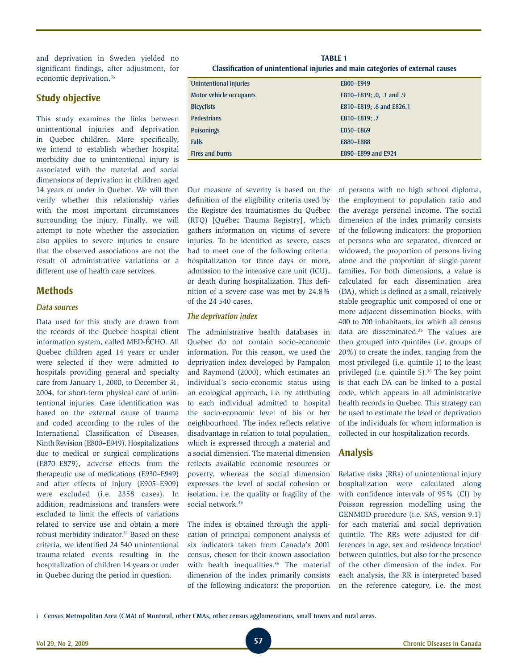and deprivation in Sweden yielded no significant findings, after adjustment, for economic deprivation.<sup>56</sup>

# **Study objective**

This study examines the links between unintentional injuries and deprivation in Quebec children. More specifically, we intend to establish whether hospital morbidity due to unintentional injury is associated with the material and social dimensions of deprivation in children aged 14 years or under in Quebec. We will then verify whether this relationship varies with the most important circumstances surrounding the injury. Finally, we will attempt to note whether the association also applies to severe injuries to ensure that the observed associations are not the result of administrative variations or a different use of health care services.

## **Methods**

#### *Data sources*

Data used for this study are drawn from the records of the Quebec hospital client information system, called MED-ÉCHO. All Quebec children aged 14 years or under were selected if they were admitted to hospitals providing general and specialty care from January 1, 2000, to December 31, 2004, for short-term physical care of unintentional injuries. Case identification was based on the external cause of trauma and coded according to the rules of the International Classification of Diseases, Ninth Revision (E800–E949). Hospitalizations due to medical or surgical complications (E870–E879), adverse effects from the therapeutic use of medications (E930–E949) and after effects of injury (E905–E909) were excluded (i.e. 2358 cases). In addition, readmissions and transfers were excluded to limit the effects of variations related to service use and obtain a more robust morbidity indicator.32 Based on these criteria, we identified 24 540 unintentional trauma-related events resulting in the hospitalization of children 14 years or under in Quebec during the period in question.

| <b>TABLE 1</b>                                                                  |
|---------------------------------------------------------------------------------|
| Classification of unintentional injuries and main categories of external causes |

| Unintentional injuries  | E800-E949                |
|-------------------------|--------------------------|
| Motor vehicle occupants | E810-E819; .0, .1 and .9 |
| <b>Bicyclists</b>       | E810-E819; .6 and E826.1 |
| <b>Pedestrians</b>      | E810-E819; .7            |
| <b>Poisonings</b>       | E850-E869                |
| <b>Falls</b>            | E880-E888                |
| Fires and burns         | E890-E899 and E924       |

Our measure of severity is based on the definition of the eligibility criteria used by the Registre des traumatismes du Québec (RTQ) [Québec Trauma Registry], which gathers information on victims of severe injuries. To be identified as severe, cases had to meet one of the following criteria: hospitalization for three days or more, admission to the intensive care unit (ICU), or death during hospitalization. This definition of a severe case was met by 24.8% of the 24 540 cases.

#### *The deprivation index*

The administrative health databases in Quebec do not contain socio-economic information. For this reason, we used the deprivation index developed by Pampalon and Raymond (2000), which estimates an individual's socio-economic status using an ecological approach, i.e. by attributing to each individual admitted to hospital the socio-economic level of his or her neighbourhood. The index reflects relative disadvantage in relation to total population, which is expressed through a material and a social dimension. The material dimension reflects available economic resources or poverty, whereas the social dimension expresses the level of social cohesion or isolation, i.e. the quality or fragility of the social network.<sup>35</sup>

The index is obtained through the application of principal component analysis of six indicators taken from Canada's 2001 census, chosen for their known association with health inequalities.<sup>36</sup> The material dimension of the index primarily consists of the following indicators: the proportion of persons with no high school diploma, the employment to population ratio and the average personal income. The social dimension of the index primarily consists of the following indicators: the proportion of persons who are separated, divorced or widowed, the proportion of persons living alone and the proportion of single-parent families. For both dimensions, a value is calculated for each dissemination area (DA), which is defined as a small, relatively stable geographic unit composed of one or more adjacent dissemination blocks, with 400 to 700 inhabitants, for which all census data are disseminated.<sup>35</sup> The values are then grouped into quintiles (i.e. groups of 20%) to create the index, ranging from the most privileged (i.e. quintile 1) to the least privileged (i.e. quintile 5).36 The key point is that each DA can be linked to a postal code, which appears in all administrative health records in Quebec. This strategy can be used to estimate the level of deprivation of the individuals for whom information is collected in our hospitalization records.

# **Analysis**

Relative risks (RRs) of unintentional injury hospitalization were calculated along with confidence intervals of 95% (CI) by Poisson regression modelling using the GENMOD procedure (i.e. SAS, version 9.1) for each material and social deprivation quintile. The RRs were adjusted for differences in age, sex and residence locationi between quintiles, but also for the presence of the other dimension of the index. For each analysis, the RR is interpreted based on the reference category, i.e. the most

i Census Metropolitan Area (CMA) of Montreal, other CMAs, other census agglomerations, small towns and rural areas.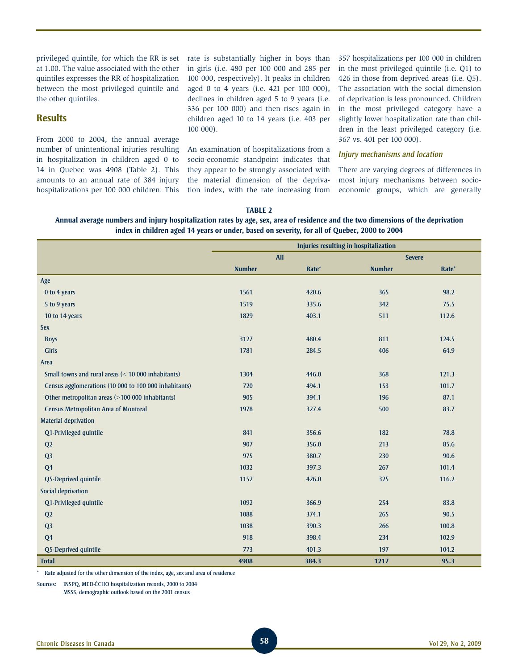privileged quintile, for which the RR is set at 1.00. The value associated with the other quintiles expresses the RR of hospitalization between the most privileged quintile and the other quintiles.

## **Results**

From 2000 to 2004, the annual average number of unintentional injuries resulting in hospitalization in children aged 0 to 14 in Quebec was 4908 (Table 2). This amounts to an annual rate of 384 injury hospitalizations per 100 000 children. This rate is substantially higher in boys than in girls (i.e. 480 per 100 000 and 285 per 100 000, respectively). It peaks in children aged 0 to 4 years (i.e. 421 per 100 000), declines in children aged 5 to 9 years (i.e. 336 per 100 000) and then rises again in children aged 10 to 14 years (i.e. 403 per 100 000).

An examination of hospitalizations from a socio-economic standpoint indicates that they appear to be strongly associated with the material dimension of the deprivation index, with the rate increasing from 357 hospitalizations per 100 000 in children in the most privileged quintile (i.e. Q1) to 426 in those from deprived areas (i.e. Q5). The association with the social dimension of deprivation is less pronounced. Children in the most privileged category have a slightly lower hospitalization rate than children in the least privileged category (i.e. 367 vs. 401 per 100 000).

#### *Injury mechanisms and location*

There are varying degrees of differences in most injury mechanisms between socioeconomic groups, which are generally

#### **Table 2**

**Annual average numbers and injury hospitalization rates by age, sex, area of residence and the two dimensions of the deprivation index in children aged 14 years or under, based on severity, for all of Quebec, 2000 to 2004**

|                                                       | Injuries resulting in hospitalization |            |               |       |  |  |  |  |
|-------------------------------------------------------|---------------------------------------|------------|---------------|-------|--|--|--|--|
|                                                       |                                       | <b>All</b> | <b>Severe</b> |       |  |  |  |  |
|                                                       | <b>Number</b>                         | Rate*      | <b>Number</b> | Rate* |  |  |  |  |
| Age                                                   |                                       |            |               |       |  |  |  |  |
| 0 to 4 years                                          | 1561                                  | 420.6      | 365           | 98.2  |  |  |  |  |
| 5 to 9 years                                          | 1519                                  | 335.6      | 342           | 75.5  |  |  |  |  |
| 10 to 14 years                                        | 1829                                  | 403.1      | 511           | 112.6 |  |  |  |  |
| <b>Sex</b>                                            |                                       |            |               |       |  |  |  |  |
| <b>Boys</b>                                           | 3127                                  | 480.4      | 811           | 124.5 |  |  |  |  |
| <b>Girls</b>                                          | 1781                                  | 284.5      | 406           | 64.9  |  |  |  |  |
| Area                                                  |                                       |            |               |       |  |  |  |  |
| Small towns and rural areas (< 10 000 inhabitants)    | 1304                                  | 446.0      | 368           | 121.3 |  |  |  |  |
| Census agglomerations (10 000 to 100 000 inhabitants) | 720                                   | 494.1      | 153           | 101.7 |  |  |  |  |
| Other metropolitan areas (>100 000 inhabitants)       | 905                                   | 394.1      | 196           | 87.1  |  |  |  |  |
| <b>Census Metropolitan Area of Montreal</b>           | 1978                                  | 327.4      | 500           | 83.7  |  |  |  |  |
| <b>Material deprivation</b>                           |                                       |            |               |       |  |  |  |  |
| Q1-Privileged quintile                                | 841                                   | 356.6      | 182           | 78.8  |  |  |  |  |
| Q <sub>2</sub>                                        | 907                                   | 356.0      | 213           | 85.6  |  |  |  |  |
| Q <sub>3</sub>                                        | 975                                   | 380.7      | 230           | 90.6  |  |  |  |  |
| Q <sub>4</sub>                                        | 1032                                  | 397.3      | 267           | 101.4 |  |  |  |  |
| Q5-Deprived quintile                                  | 1152                                  | 426.0      | 325           | 116.2 |  |  |  |  |
| Social deprivation                                    |                                       |            |               |       |  |  |  |  |
| Q1-Privileged quintile                                | 1092                                  | 366.9      | 254           | 83.8  |  |  |  |  |
| Q2                                                    | 1088                                  | 374.1      | 265           | 90.5  |  |  |  |  |
| Q <sub>3</sub>                                        | 1038                                  | 390.3      | 266           | 100.8 |  |  |  |  |
| Q <sub>4</sub>                                        | 918                                   | 398.4      | 234           | 102.9 |  |  |  |  |
| Q5-Deprived quintile                                  | 773                                   | 401.3      | 197           | 104.2 |  |  |  |  |
| <b>Total</b>                                          | 4908                                  | 384.3      | 1217          | 95.3  |  |  |  |  |

Rate adjusted for the other dimension of the index, age, sex and area of residence

Sources: INSPQ, MED-ÉCHO hospitalization records, 2000 to 2004 MSSS, demographic outlook based on the 2001 census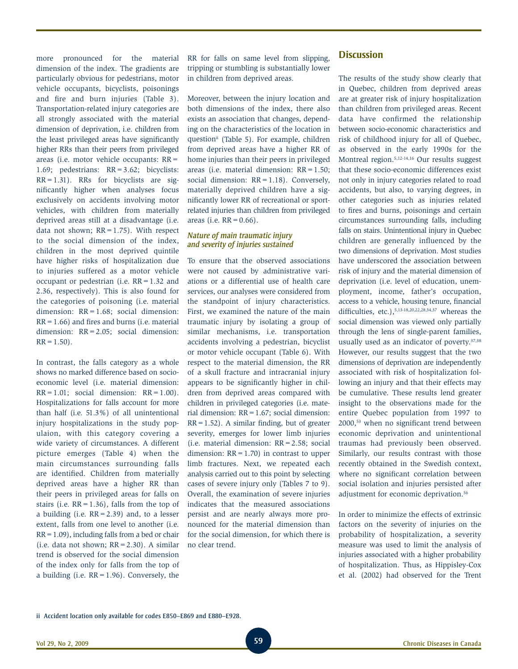more pronounced for the material dimension of the index. The gradients are particularly obvious for pedestrians, motor vehicle occupants, bicyclists, poisonings and fire and burn injuries (Table 3). Transportation-related injury categories are all strongly associated with the material dimension of deprivation, i.e. children from the least privileged areas have significantly higher RRs than their peers from privileged areas (i.e. motor vehicle occupants: RR= 1.69; pedestrians: RR=3.62; bicyclists:  $RR = 1.31$ ). RRs for bicyclists are significantly higher when analyses focus exclusively on accidents involving motor vehicles, with children from materially deprived areas still at a disadvantage (i.e. data not shown;  $RR = 1.75$ ). With respect to the social dimension of the index, children in the most deprived quintile have higher risks of hospitalization due to injuries suffered as a motor vehicle occupant or pedestrian (i.e. RR=1.32 and 2.36, respectively). This is also found for the categories of poisoning (i.e. material dimension: RR = 1.68; social dimension:  $RR = 1.66$ ) and fires and burns (i.e. material dimension: RR=2.05; social dimension:  $RR = 1.50$ .

In contrast, the falls category as a whole shows no marked difference based on socioeconomic level (i.e. material dimension:  $RR = 1.01$ ; social dimension:  $RR = 1.00$ ). Hospitalizations for falls account for more than half (i.e. 51.3%) of all unintentional injury hospitalizations in the study populaion, with this category covering a wide variety of circumstances. A different picture emerges (Table 4) when the main circumstances surrounding falls are identified. Children from materially deprived areas have a higher RR than their peers in privileged areas for falls on stairs (i.e.  $RR = 1.36$ ), falls from the top of a building (i.e.  $RR = 2.39$ ) and, to a lesser extent, falls from one level to another (i.e.  $RR = 1.09$ ), including falls from a bed or chair (i.e. data not shown;  $RR = 2.30$ ). A similar trend is observed for the social dimension of the index only for falls from the top of a building (i.e.  $RR = 1.96$ ). Conversely, the

RR for falls on same level from slipping, tripping or stumbling is substantially lower in children from deprived areas.

Moreover, between the injury location and both dimensions of the index, there also exists an association that changes, depending on the characteristics of the location in question<sup>ii</sup> (Table 5). For example, children from deprived areas have a higher RR of home injuries than their peers in privileged areas (i.e. material dimension: RR=1.50; social dimension:  $RR = 1.18$ ). Conversely, materially deprived children have a significantly lower RR of recreational or sportrelated injuries than children from privileged areas (i.e.  $RR = 0.66$ ).

#### *Nature of main traumatic injury and severity of injuries sustained*

To ensure that the observed associations were not caused by administrative variations or a differential use of health care services, our analyses were considered from the standpoint of injury characteristics. First, we examined the nature of the main traumatic injury by isolating a group of similar mechanisms, i.e. transportation accidents involving a pedestrian, bicyclist or motor vehicle occupant (Table 6). With respect to the material dimension, the RR of a skull fracture and intracranial injury appears to be significantly higher in children from deprived areas compared with children in privileged categories (i.e. material dimension:  $RR = 1.67$ ; social dimension:  $RR = 1.52$ . A similar finding, but of greater severity, emerges for lower limb injuries (i.e. material dimension:  $RR = 2.58$ ; social dimension:  $RR = 1.70$  in contrast to upper limb fractures. Next, we repeated each analysis carried out to this point by selecting cases of severe injury only (Tables 7 to 9). Overall, the examination of severe injuries indicates that the measured associations persist and are nearly always more pronounced for the material dimension than for the social dimension, for which there is no clear trend.

## **Discussion**

The results of the study show clearly that in Quebec, children from deprived areas are at greater risk of injury hospitalization than children from privileged areas. Recent data have confirmed the relationship between socio-economic characteristics and risk of childhood injury for all of Quebec, as observed in the early 1990s for the Montreal region.5,12-14,16 Our results suggest that these socio-economic differences exist not only in injury categories related to road accidents, but also, to varying degrees, in other categories such as injuries related to fires and burns, poisonings and certain circumstances surrounding falls, including falls on stairs. Unintentional injury in Quebec children are generally influenced by the two dimensions of deprivation. Most studies have underscored the association between risk of injury and the material dimension of deprivation (i.e. level of education, unemployment, income, father's occupation, access to a vehicle, housing tenure, financial difficulties, etc.), $5,13-18,20,22,28,34,37$  whereas the social dimension was viewed only partially through the lens of single-parent families, usually used as an indicator of poverty.<sup>37,38</sup> However, our results suggest that the two dimensions of deprivation are independently associated with risk of hospitalization following an injury and that their effects may be cumulative. These results lend greater insight to the observations made for the entire Quebec population from 1997 to 2000,53 when no significant trend between economic deprivation and unintentional traumas had previously been observed. Similarly, our results contrast with those recently obtained in the Swedish context, where no significant correlation between social isolation and injuries persisted after adjustment for economic deprivation.56

In order to minimize the effects of extrinsic factors on the severity of injuries on the probability of hospitalization, a severity measure was used to limit the analysis of injuries associated with a higher probability of hospitalization. Thus, as Hippisley-Cox et al. (2002) had observed for the Trent

ii Accident location only available for codes E850–E869 and E880–E928.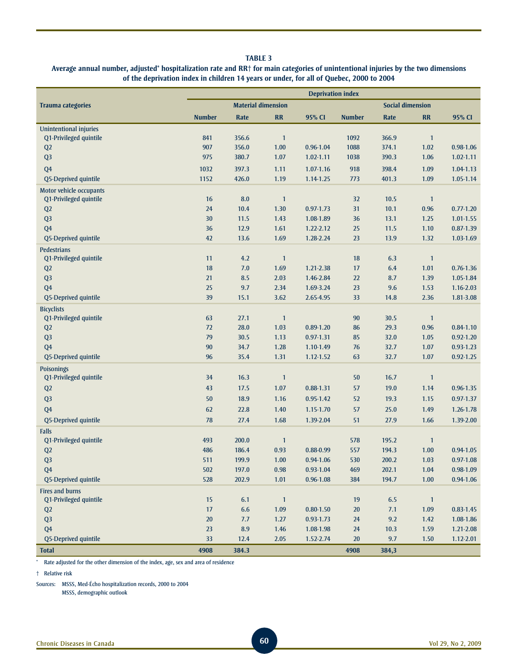## **Average annual number, adjusted\* hospitalization rate and RR† for main categories of unintentional injuries by the two dimensions of the deprivation index in children 14 years or under, for all of Quebec, 2000 to 2004**

|                          | <b>Deprivation index</b> |                           |                |               |               |                         |              |               |
|--------------------------|--------------------------|---------------------------|----------------|---------------|---------------|-------------------------|--------------|---------------|
| <b>Trauma categories</b> |                          | <b>Material dimension</b> |                |               |               | <b>Social dimension</b> |              |               |
|                          | <b>Number</b>            | Rate                      | <b>RR</b>      | 95% CI        | <b>Number</b> | Rate                    | RR           | 95% CI        |
| Unintentional injuries   |                          |                           |                |               |               |                         |              |               |
| Q1-Privileged quintile   | 841                      | 356.6                     | $\mathbf{1}$   |               | 1092          | 366.9                   | $\mathbf{1}$ |               |
| Q2                       | 907                      | 356.0                     | 1.00           | 0.96-1.04     | 1088          | 374.1                   | 1.02         | $0.98 - 1.06$ |
| Q <sub>3</sub>           | 975                      | 380.7                     | 1.07           | $1.02 - 1.11$ | 1038          | 390.3                   | 1.06         | $1.02 - 1.11$ |
| Q <sub>4</sub>           | 1032                     | 397.3                     | 1.11           | $1.07 - 1.16$ | 918           | 398.4                   | 1.09         | 1.04-1.13     |
| Q5-Deprived quintile     | 1152                     | 426.0                     | 1.19           | 1.14-1.25     | 773           | 401.3                   | 1.09         | 1.05-1.14     |
| Motor vehicle occupants  |                          |                           |                |               |               |                         |              |               |
| Q1-Privileged quintile   | 16                       | 8.0                       | $\mathbf{1}$   |               | 32            | 10.5                    | $\mathbf{1}$ |               |
| Q <sub>2</sub>           | 24                       | 10.4                      | 1.30           | $0.97 - 1.73$ | 31            | 10.1                    | 0.96         | $0.77 - 1.20$ |
| Q <sub>3</sub>           | 30                       | 11.5                      | 1.43           | 1.08-1.89     | 36            | 13.1                    | 1.25         | 1.01-1.55     |
| Q <sub>4</sub>           | 36                       | 12.9                      | 1.61           | 1.22-2.12     | 25            | 11.5                    | 1.10         | $0.87 - 1.39$ |
| Q5-Deprived quintile     | 42                       | 13.6                      | 1.69           | 1.28-2.24     | 23            | 13.9                    | 1.32         | 1.03-1.69     |
| <b>Pedestrians</b>       |                          |                           |                |               |               |                         |              |               |
| Q1-Privileged quintile   | 11                       | 4.2                       | $\mathbf{1}$   |               | 18            | 6.3                     | $\mathbf{1}$ |               |
| Q <sub>2</sub>           | 18                       | 7.0                       | 1.69           | 1.21-2.38     | 17            | 6.4                     | 1.01         | $0.76 - 1.36$ |
| Q <sub>3</sub>           | 21                       | 8.5                       | 2.03           | 1.46-2.84     | 22            | 8.7                     | 1.39         | 1.05-1.84     |
| Q <sub>4</sub>           | 25                       | 9.7                       | 2.34           | 1.69-3.24     | 23            | 9.6                     | 1.53         | 1.16-2.03     |
| Q5-Deprived quintile     | 39                       | 15.1                      | 3.62           | 2.65-4.95     | 33            | 14.8                    | 2.36         | 1.81-3.08     |
| <b>Bicyclists</b>        |                          |                           |                |               |               |                         |              |               |
| Q1-Privileged quintile   | 63                       | 27.1                      | $\mathbf{1}$   |               | 90            | 30.5                    | $\mathbf{1}$ |               |
| Q2                       | 72                       | 28.0                      | 1.03           | $0.89 - 1.20$ | 86            | 29.3                    | 0.96         | $0.84 - 1.10$ |
| Q <sub>3</sub>           | 79                       | 30.5                      | 1.13           | 0.97-1.31     | 85            | 32.0                    | 1.05         | $0.92 - 1.20$ |
| Q <sub>4</sub>           | 90                       | 34.7                      | 1.28           | 1.10-1.49     | 76            | 32.7                    | 1.07         | $0.93 - 1.23$ |
| Q5-Deprived quintile     | 96                       | 35.4                      | 1.31           | $1.12 - 1.52$ | 63            | 32.7                    | 1.07         | $0.92 - 1.25$ |
| <b>Poisonings</b>        |                          |                           |                |               |               |                         |              |               |
| Q1-Privileged quintile   | 34                       | 16.3                      | $\mathbf{1}$   |               | 50            | 16.7                    | $\mathbf{1}$ |               |
| Q2                       | 43                       | 17.5                      | 1.07           | 0.88-1.31     | 57            | 19.0                    | 1.14         | 0.96-1.35     |
| Q <sub>3</sub>           | 50                       | 18.9                      | 1.16           | 0.95-1.42     | 52            | 19.3                    | 1.15         | $0.97 - 1.37$ |
| Q <sub>4</sub>           | 62                       | 22.8                      | 1.40           | 1.15-1.70     | 57            | 25.0                    | 1.49         | 1.26-1.78     |
| Q5-Deprived quintile     | 78                       | 27.4                      | 1.68           | 1.39-2.04     | 51            | 27.9                    | 1.66         | 1.39-2.00     |
| Falls                    |                          |                           |                |               |               |                         |              |               |
| Q1-Privileged quintile   | 493                      | 200.0                     | $\mathbf{1}$   |               | 578           | 195.2                   | $\mathbf{1}$ |               |
| Q2                       | 486                      | 186.4                     | 0.93           | 0.88-0.99     | 557           | 194.3                   | 1.00         | 0.94-1.05     |
| Q <sub>3</sub>           | 511                      | 199.9                     | 1.00           | $0.94 - 1.06$ | 530           | 200.2                   | 1.03         | $0.97 - 1.08$ |
| Q <sub>4</sub>           | 502                      | 197.0                     | 0.98           | $0.93 - 1.04$ | 469           | 202.1                   | 1.04         | 0.98-1.09     |
| Q5-Deprived quintile     | 528                      | 202.9                     | 1.01           | $0.96 - 1.08$ | 384           | 194.7                   | 1.00         | 0.94-1.06     |
| <b>Fires and burns</b>   |                          |                           |                |               |               |                         |              |               |
| Q1-Privileged quintile   | 15                       | 6.1                       | $\overline{1}$ |               | 19            | 6.5                     | $\mathbf{1}$ |               |
| Q2                       | 17                       | 6.6                       | 1.09           | $0.80 - 1.50$ | $20\,$        | 7.1                     | 1.09         | $0.83 - 1.45$ |
| Q <sub>3</sub>           | $20\,$                   | 7.7                       | 1.27           | $0.93 - 1.73$ | 24            | 9.2                     | 1.42         | 1.08-1.86     |
| Q <sub>4</sub>           | 23                       | 8.9                       | 1.46           | 1.08-1.98     | 24            | 10.3                    | 1.59         | 1.21-2.08     |
| Q5-Deprived quintile     | 33                       | 12.4                      | 2.05           | 1.52-2.74     | $20\,$        | 9.7                     | 1.50         | $1.12 - 2.01$ |
| <b>Total</b>             | 4908                     | 384.3                     |                |               | 4908          | 384,3                   |              |               |

\* Rate adjusted for the other dimension of the index, age, sex and area of residence

† Relative risk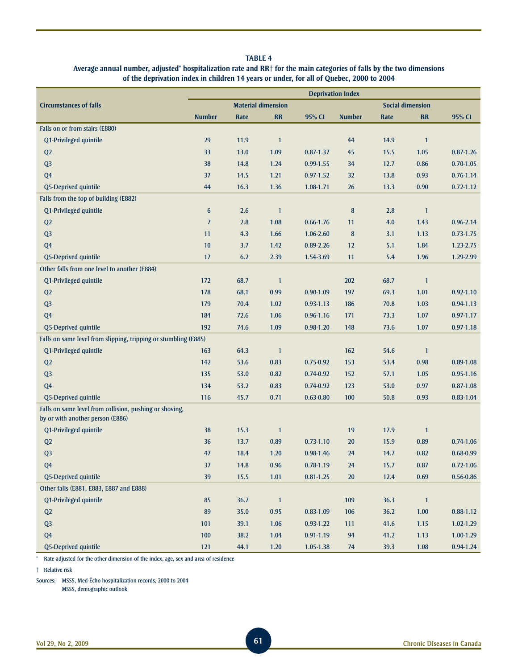#### **Average annual number, adjusted\* hospitalization rate and RR† for the main categories of falls by the two dimensions of the deprivation index in children 14 years or under, for all of Quebec, 2000 to 2004**

|                                                                                             | <b>Deprivation Index</b> |      |                           |               |               |      |                         |               |
|---------------------------------------------------------------------------------------------|--------------------------|------|---------------------------|---------------|---------------|------|-------------------------|---------------|
| <b>Circumstances of falls</b>                                                               |                          |      | <b>Material dimension</b> |               |               |      | <b>Social dimension</b> |               |
|                                                                                             | <b>Number</b>            | Rate | <b>RR</b>                 | 95% CI        | <b>Number</b> | Rate | <b>RR</b>               | 95% CI        |
| Falls on or from stairs (E880)                                                              |                          |      |                           |               |               |      |                         |               |
| Q1-Privileged quintile                                                                      | 29                       | 11.9 | $\mathbf{1}$              |               | 44            | 14.9 | $\mathbf{1}$            |               |
| Q <sub>2</sub>                                                                              | 33                       | 13.0 | 1.09                      | $0.87 - 1.37$ | 45            | 15.5 | 1.05                    | $0.87 - 1.26$ |
| Q <sub>3</sub>                                                                              | 38                       | 14.8 | 1.24                      | 0.99-1.55     | 34            | 12.7 | 0.86                    | $0.70 - 1.05$ |
| Q <sub>4</sub>                                                                              | 37                       | 14.5 | 1.21                      | $0.97 - 1.52$ | 32            | 13.8 | 0.93                    | $0.76 - 1.14$ |
| Q5-Deprived quintile                                                                        | 44                       | 16.3 | 1.36                      | 1.08-1.71     | 26            | 13.3 | 0.90                    | $0.72 - 1.12$ |
| Falls from the top of building (E882)                                                       |                          |      |                           |               |               |      |                         |               |
| Q1-Privileged quintile                                                                      | 6                        | 2.6  | $\mathbf{1}$              |               | $\bf 8$       | 2.8  | $\mathbf{1}$            |               |
| Q <sub>2</sub>                                                                              | $\overline{J}$           | 2.8  | 1.08                      | $0.66 - 1.76$ | 11            | 4.0  | 1.43                    | $0.96 - 2.14$ |
| Q <sub>3</sub>                                                                              | 11                       | 4.3  | 1.66                      | 1.06-2.60     | 8             | 3.1  | 1.13                    | $0.73 - 1.75$ |
| Q <sub>4</sub>                                                                              | 10                       | 3.7  | 1.42                      | 0.89-2.26     | 12            | 5.1  | 1.84                    | 1.23-2.75     |
| Q5-Deprived quintile                                                                        | 17                       | 6.2  | 2.39                      | 1.54-3.69     | 11            | 5.4  | 1.96                    | 1.29-2.99     |
| Other falls from one level to another (E884)                                                |                          |      |                           |               |               |      |                         |               |
| Q1-Privileged quintile                                                                      | 172                      | 68.7 | $\mathbf{1}$              |               | 202           | 68.7 | $\mathbf{1}$            |               |
| Q2                                                                                          | 178                      | 68.1 | 0.99                      | $0.90 - 1.09$ | 197           | 69.3 | 1.01                    | $0.92 - 1.10$ |
| Q <sub>3</sub>                                                                              | 179                      | 70.4 | 1.02                      | $0.93 - 1.13$ | 186           | 70.8 | 1.03                    | $0.94 - 1.13$ |
| Q <sub>4</sub>                                                                              | 184                      | 72.6 | 1.06                      | $0.96 - 1.16$ | 171           | 73.3 | 1.07                    | $0.97 - 1.17$ |
| Q5-Deprived quintile                                                                        | 192                      | 74.6 | 1.09                      | $0.98 - 1.20$ | 148           | 73.6 | 1.07                    | $0.97 - 1.18$ |
| Falls on same level from slipping, tripping or stumbling (E885)                             |                          |      |                           |               |               |      |                         |               |
| Q1-Privileged quintile                                                                      | 163                      | 64.3 | $\mathbf{1}$              |               | 162           | 54.6 | $\mathbf{1}$            |               |
| Q <sub>2</sub>                                                                              | 142                      | 53.6 | 0.83                      | $0.75 - 0.92$ | 153           | 53.4 | 0.98                    | $0.89 - 1.08$ |
| Q <sub>3</sub>                                                                              | 135                      | 53.0 | 0.82                      | $0.74 - 0.92$ | 152           | 57.1 | 1.05                    | $0.95 - 1.16$ |
| Q <sub>4</sub>                                                                              | 134                      | 53.2 | 0.83                      | $0.74 - 0.92$ | 123           | 53.0 | 0.97                    | $0.87 - 1.08$ |
| Q5-Deprived quintile                                                                        | 116                      | 45.7 | 0.71                      | $0.63 - 0.80$ | 100           | 50.8 | 0.93                    | $0.83 - 1.04$ |
| Falls on same level from collision, pushing or shoving,<br>by or with another person (E886) |                          |      |                           |               |               |      |                         |               |
| Q1-Privileged quintile                                                                      | 38                       | 15.3 | $\mathbf{1}$              |               | 19            | 17.9 | $\mathbf{1}$            |               |
| Q2                                                                                          | 36                       | 13.7 | 0.89                      | $0.73 - 1.10$ | 20            | 15.9 | 0.89                    | $0.74 - 1.06$ |
| Q <sub>3</sub>                                                                              | 47                       | 18.4 | 1.20                      | 0.98-1.46     | 24            | 14.7 | 0.82                    | $0.68 - 0.99$ |
| Q4                                                                                          | 37                       | 14.8 | 0.96                      | 0.78-1.19     | 24            | 15.7 | 0.87                    | $0.72 - 1.06$ |
| Q5-Deprived quintile                                                                        | 39                       | 15.5 | 1.01                      | $0.81 - 1.25$ | $20\,$        | 12.4 | 0.69                    | $0.56 - 0.86$ |
| Other falls (E881, E883, E887 and E888)                                                     |                          |      |                           |               |               |      |                         |               |
| Q1-Privileged quintile                                                                      | 85                       | 36.7 | $\mathbf{1}$              |               | 109           | 36.3 | $\mathbf{1}$            |               |
| Q2                                                                                          | 89                       | 35.0 | 0.95                      | $0.83 - 1.09$ | 106           | 36.2 | 1.00                    | $0.88 - 1.12$ |
| Q <sub>3</sub>                                                                              | 101                      | 39.1 | 1.06                      | $0.93 - 1.22$ | 111           | 41.6 | 1.15                    | $1.02 - 1.29$ |
| Q <sub>4</sub>                                                                              | 100                      | 38.2 | 1.04                      | $0.91 - 1.19$ | 94            | 41.2 | 1.13                    | 1.00-1.29     |
| Q5-Deprived quintile                                                                        | 121                      | 44.1 | 1.20                      | 1.05-1.38     | 74            | 39.3 | 1.08                    | 0.94-1.24     |

\* Rate adjusted for the other dimension of the index, age, sex and area of residence

† Relative risk

Sources: MSSS, Med-Écho hospitalization records, 2000 to 2004

MSSS, demographic outlook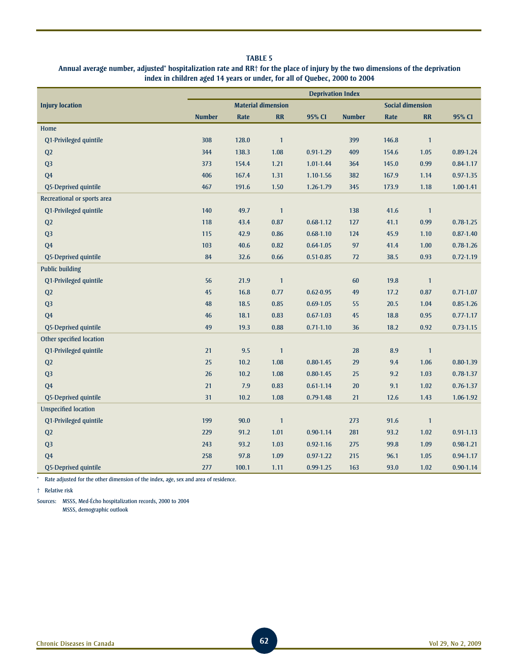## **Annual average number, adjusted\* hospitalization rate and RR† for the place of injury by the two dimensions of the deprivation index in children aged 14 years or under, for all of Quebec, 2000 to 2004**

|                             | <b>Deprivation Index</b> |       |                           |               |               |                         |                |               |
|-----------------------------|--------------------------|-------|---------------------------|---------------|---------------|-------------------------|----------------|---------------|
| <b>Injury location</b>      |                          |       | <b>Material dimension</b> |               |               | <b>Social dimension</b> |                |               |
|                             | <b>Number</b>            | Rate  | <b>RR</b>                 | 95% CI        | <b>Number</b> | Rate                    | <b>RR</b>      | 95% CI        |
| Home                        |                          |       |                           |               |               |                         |                |               |
| Q1-Privileged quintile      | 308                      | 128.0 | $\mathbf{1}$              |               | 399           | 146.8                   | $\mathbf{1}$   |               |
| Q2                          | 344                      | 138.3 | 1.08                      | $0.91 - 1.29$ | 409           | 154.6                   | 1.05           | $0.89 - 1.24$ |
| Q <sub>3</sub>              | 373                      | 154.4 | 1.21                      | 1.01-1.44     | 364           | 145.0                   | 0.99           | $0.84 - 1.17$ |
| Q <sub>4</sub>              | 406                      | 167.4 | 1.31                      | 1.10-1.56     | 382           | 167.9                   | 1.14           | $0.97 - 1.35$ |
| Q5-Deprived quintile        | 467                      | 191.6 | 1.50                      | 1.26-1.79     | 345           | 173.9                   | 1.18           | 1.00-1.41     |
| Recreational or sports area |                          |       |                           |               |               |                         |                |               |
| Q1-Privileged quintile      | 140                      | 49.7  | $\mathbf{1}$              |               | 138           | 41.6                    | $\overline{1}$ |               |
| Q2                          | 118                      | 43.4  | 0.87                      | $0.68 - 1.12$ | 127           | 41.1                    | 0.99           | $0.78 - 1.25$ |
| Q <sub>3</sub>              | 115                      | 42.9  | 0.86                      | $0.68 - 1.10$ | 124           | 45.9                    | 1.10           | $0.87 - 1.40$ |
| Q <sub>4</sub>              | 103                      | 40.6  | 0.82                      | $0.64 - 1.05$ | 97            | 41.4                    | 1.00           | $0.78 - 1.26$ |
| Q5-Deprived quintile        | 84                       | 32.6  | 0.66                      | $0.51 - 0.85$ | $72\,$        | 38.5                    | 0.93           | $0.72 - 1.19$ |
| <b>Public building</b>      |                          |       |                           |               |               |                         |                |               |
| Q1-Privileged quintile      | 56                       | 21.9  | $\mathbf{1}$              |               | 60            | 19.8                    | $\mathbf{1}$   |               |
| Q <sub>2</sub>              | 45                       | 16.8  | 0.77                      | $0.62 - 0.95$ | 49            | 17.2                    | 0.87           | $0.71 - 1.07$ |
| Q <sub>3</sub>              | 48                       | 18.5  | 0.85                      | $0.69 - 1.05$ | 55            | 20.5                    | 1.04           | $0.85 - 1.26$ |
| Q <sub>4</sub>              | 46                       | 18.1  | 0.83                      | $0.67 - 1.03$ | 45            | 18.8                    | 0.95           | $0.77 - 1.17$ |
| Q5-Deprived quintile        | 49                       | 19.3  | 0.88                      | $0.71 - 1.10$ | 36            | 18.2                    | 0.92           | $0.73 - 1.15$ |
| Other specified location    |                          |       |                           |               |               |                         |                |               |
| Q1-Privileged quintile      | 21                       | 9.5   | $\mathbf{1}$              |               | 28            | 8.9                     | $\mathbf{1}$   |               |
| Q2                          | 25                       | 10.2  | 1.08                      | $0.80 - 1.45$ | 29            | 9.4                     | 1.06           | $0.80 - 1.39$ |
| Q <sub>3</sub>              | 26                       | 10.2  | 1.08                      | $0.80 - 1.45$ | 25            | 9.2                     | 1.03           | $0.78 - 1.37$ |
| Q <sub>4</sub>              | 21                       | 7.9   | 0.83                      | $0.61 - 1.14$ | $20\,$        | 9.1                     | 1.02           | $0.76 - 1.37$ |
| Q5-Deprived quintile        | 31                       | 10.2  | 1.08                      | $0.79 - 1.48$ | 21            | 12.6                    | 1.43           | 1.06-1.92     |
| <b>Unspecified location</b> |                          |       |                           |               |               |                         |                |               |
| Q1-Privileged quintile      | 199                      | 90.0  | $\mathbf{1}$              |               | 273           | 91.6                    | $\mathbf{1}$   |               |
| Q2                          | 229                      | 91.2  | 1.01                      | $0.90 - 1.14$ | 281           | 93.2                    | 1.02           | $0.91 - 1.13$ |
| Q <sub>3</sub>              | 243                      | 93.2  | 1.03                      | $0.92 - 1.16$ | 275           | 99.8                    | 1.09           | $0.98 - 1.21$ |
| Q <sub>4</sub>              | 258                      | 97.8  | 1.09                      | $0.97 - 1.22$ | 215           | 96.1                    | 1.05           | 0.94-1.17     |
| Q5-Deprived quintile        | 277                      | 100.1 | 1.11                      | $0.99 - 1.25$ | 163           | 93.0                    | 1.02           | $0.90 - 1.14$ |

\* Rate adjusted for the other dimension of the index, age, sex and area of residence.

† Relative risk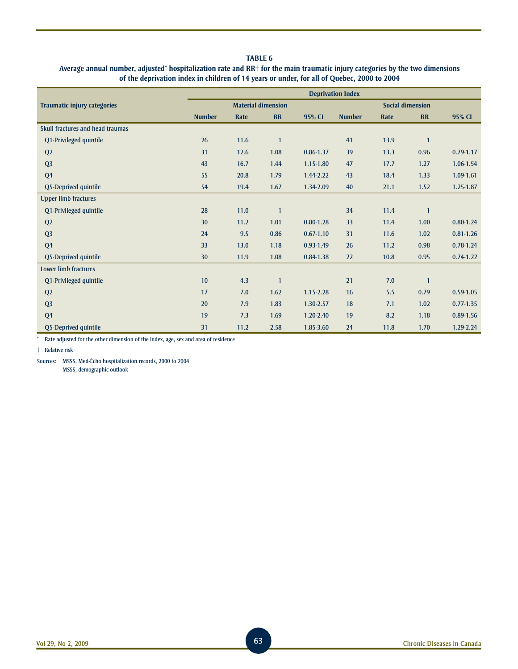## **Average annual number, adjusted\* hospitalization rate and RR† for the main traumatic injury categories by the two dimensions of the deprivation index in children of 14 years or under, for all of Quebec, 2000 to 2004**

|                                    | <b>Deprivation Index</b> |      |                           |               |               |      |                         |               |
|------------------------------------|--------------------------|------|---------------------------|---------------|---------------|------|-------------------------|---------------|
| <b>Traumatic injury categories</b> |                          |      | <b>Material dimension</b> |               |               |      | <b>Social dimension</b> |               |
|                                    | <b>Number</b>            | Rate | <b>RR</b>                 | 95% CI        | <b>Number</b> | Rate | <b>RR</b>               | 95% CI        |
| Skull fractures and head traumas   |                          |      |                           |               |               |      |                         |               |
| Q1-Privileged quintile             | 26                       | 11.6 | $\mathbf{1}$              |               | 41            | 13.9 | $\mathbf{1}$            |               |
| Q <sub>2</sub>                     | 31                       | 12.6 | 1.08                      | $0.86 - 1.37$ | 39            | 13.3 | 0.96                    | $0.79 - 1.17$ |
| Q <sub>3</sub>                     | 43                       | 16.7 | 1.44                      | 1.15-1.80     | 47            | 17.7 | 1.27                    | 1.06-1.54     |
| Q <sub>4</sub>                     | 55                       | 20.8 | 1.79                      | 1.44-2.22     | 43            | 18.4 | 1.33                    | 1.09-1.61     |
| Q5-Deprived quintile               | 54                       | 19.4 | 1.67                      | 1.34-2.09     | 40            | 21.1 | 1.52                    | 1.25-1.87     |
| <b>Upper limb fractures</b>        |                          |      |                           |               |               |      |                         |               |
| Q1-Privileged quintile             | 28                       | 11.0 | $\mathbf{1}$              |               | 34            | 11.4 | $\mathbf{1}$            |               |
| Q <sub>2</sub>                     | 30                       | 11.2 | 1.01                      | $0.80 - 1.28$ | 33            | 11.4 | 1.00                    | $0.80 - 1.24$ |
| Q <sub>3</sub>                     | 24                       | 9.5  | 0.86                      | $0.67 - 1.10$ | 31            | 11.6 | 1.02                    | $0.81 - 1.26$ |
| Q <sub>4</sub>                     | 33                       | 13.0 | 1.18                      | $0.93 - 1.49$ | 26            | 11.2 | 0.98                    | $0.78 - 1.24$ |
| Q5-Deprived quintile               | 30                       | 11.9 | 1.08                      | 0.84-1.38     | 22            | 10.8 | 0.95                    | $0.74 - 1.22$ |
| Lower limb fractures               |                          |      |                           |               |               |      |                         |               |
| Q1-Privileged quintile             | 10                       | 4.3  | $\mathbf{1}$              |               | 21            | 7.0  | $\mathbf{1}$            |               |
| Q <sub>2</sub>                     | 17                       | 7.0  | 1.62                      | $1.15 - 2.28$ | 16            | 5.5  | 0.79                    | $0.59 - 1.05$ |
| Q <sub>3</sub>                     | 20                       | 7.9  | 1.83                      | 1.30-2.57     | 18            | 7.1  | 1.02                    | $0.77 - 1.35$ |
| Q <sub>4</sub>                     | 19                       | 7.3  | 1.69                      | $1.20 - 2.40$ | 19            | 8.2  | 1.18                    | 0.89-1.56     |
| Q5-Deprived quintile               | 31                       | 11.2 | 2.58                      | 1.85-3.60     | 24            | 11.8 | 1.70                    | 1.29-2.24     |

\* Rate adjusted for the other dimension of the index, age, sex and area of residence

† Relative risk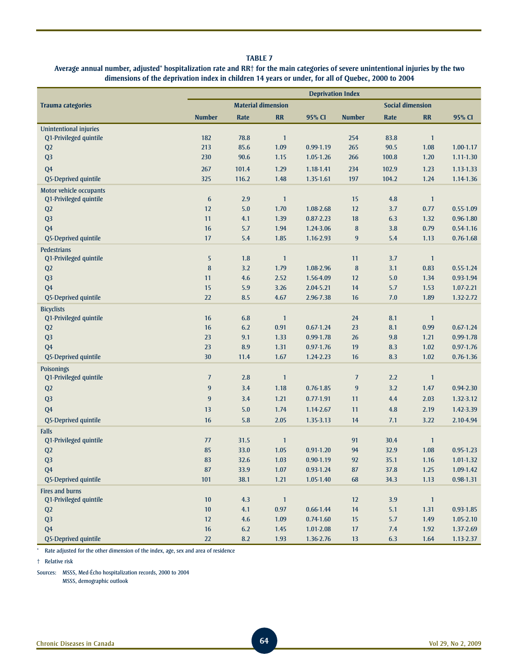#### **Average annual number, adjusted\* hospitalization rate and RR† for the main categories of severe unintentional injuries by the two dimensions of the deprivation index in children 14 years or under, for all of Quebec, 2000 to 2004**

|                                              | <b>Deprivation Index</b> |                           |                |               |                  |                         |                |               |
|----------------------------------------------|--------------------------|---------------------------|----------------|---------------|------------------|-------------------------|----------------|---------------|
| <b>Trauma categories</b>                     |                          | <b>Material dimension</b> |                |               |                  | <b>Social dimension</b> |                |               |
|                                              | <b>Number</b>            | <b>Rate</b>               | <b>RR</b>      | 95% CI        | <b>Number</b>    | <b>Rate</b>             | <b>RR</b>      | 95% CI        |
| <b>Unintentional injuries</b>                |                          |                           |                |               |                  |                         |                |               |
| Q1-Privileged quintile                       | 182                      | 78.8                      | $\mathbf{1}$   |               | 254              | 83.8                    | $\mathbf{1}$   |               |
| Q <sub>2</sub>                               | 213                      | 85.6                      | 1.09           | 0.99-1.19     | 265              | 90.5                    | 1.08           | $1.00 - 1.17$ |
| Q <sub>3</sub>                               | 230                      | 90.6                      | 1.15           | 1.05-1.26     | 266              | 100.8                   | 1.20           | 1.11-1.30     |
| Q <sub>4</sub>                               | 267                      | 101.4                     | 1.29           | 1.18-1.41     | 234              | 102.9                   | 1.23           | 1.13-1.33     |
| Q5-Deprived quintile                         | 325                      | 116.2                     | 1.48           | 1.35-1.61     | 197              | 104.2                   | 1.24           | 1.14-1.36     |
| Motor vehicle occupants                      |                          |                           |                |               |                  |                         |                |               |
| Q1-Privileged quintile                       | $\boldsymbol{6}$         | 2.9                       | $\overline{1}$ |               | 15               | 4.8                     | $\overline{1}$ |               |
| Q <sub>2</sub>                               | 12                       | 5.0                       | 1.70           | 1.08-2.68     | 12               | 3.7                     | 0.77           | $0.55 - 1.09$ |
| Q <sub>3</sub>                               | 11<br>16                 | 4.1                       | 1.39           | $0.87 - 2.23$ | 18               | 6.3                     | 1.32           | $0.96 - 1.80$ |
| Q <sub>4</sub>                               | 17                       | 5.7                       | 1.94           | 1.24-3.06     | ${\bf 8}$        | 3.8                     | 0.79           | 0.54-1.16     |
| Q5-Deprived quintile                         |                          | 5.4                       | 1.85           | 1.16-2.93     | 9                | 5.4                     | 1.13           | $0.76 - 1.68$ |
| <b>Pedestrians</b><br>Q1-Privileged quintile | 5                        | 1.8                       | $\mathbf{1}$   |               | 11               | 3.7                     | $\mathbf{1}$   |               |
| Q2                                           | 8                        | 3.2                       | 1.79           | 1.08-2.96     | $\boldsymbol{8}$ | 3.1                     | 0.83           | $0.55 - 1.24$ |
| Q <sub>3</sub>                               | 11                       | 4.6                       | 2.52           | 1.56-4.09     | 12               | 5.0                     | 1.34           | 0.93-1.94     |
| Q <sub>4</sub>                               | 15                       | 5.9                       | 3.26           | 2.04-5.21     | 14               | 5.7                     | 1.53           | $1.07 - 2.21$ |
| Q5-Deprived quintile                         | 22                       | 8.5                       | 4.67           | 2.96-7.38     | 16               | 7.0                     | 1.89           | 1.32-2.72     |
| <b>Bicyclists</b>                            |                          |                           |                |               |                  |                         |                |               |
| Q1-Privileged quintile                       | 16                       | 6.8                       | $\mathbf{1}$   |               | 24               | 8.1                     | $\overline{1}$ |               |
| Q2                                           | 16                       | 6.2                       | 0.91           | $0.67 - 1.24$ | 23               | 8.1                     | 0.99           | $0.67 - 1.24$ |
| Q <sub>3</sub>                               | 23                       | 9.1                       | 1.33           | 0.99-1.78     | 26               | 9.8                     | 1.21           | 0.99-1.78     |
| Q <sub>4</sub>                               | 23                       | 8.9                       | 1.31           | $0.97 - 1.76$ | 19               | 8.3                     | 1.02           | $0.97 - 1.76$ |
| Q5-Deprived quintile                         | 30                       | 11.4                      | 1.67           | 1.24-2.23     | 16               | 8.3                     | 1.02           | $0.76 - 1.36$ |
| <b>Poisonings</b>                            |                          |                           |                |               |                  |                         |                |               |
| Q1-Privileged quintile                       | $\overline{J}$           | 2.8                       | $\mathbf{1}$   |               | $\overline{J}$   | 2.2                     | $\mathbf{1}$   |               |
| Q2                                           | 9                        | 3.4                       | 1.18           | $0.76 - 1.85$ | 9                | 3.2                     | 1.47           | 0.94-2.30     |
| Q <sub>3</sub>                               | $\overline{9}$           | 3.4                       | 1.21           | $0.77 - 1.91$ | 11               | 4.4                     | 2.03           | 1.32-3.12     |
| Q <sub>4</sub>                               | 13                       | 5.0                       | 1.74           | 1.14-2.67     | 11               | 4.8                     | 2.19           | 1.42-3.39     |
| Q5-Deprived quintile                         | 16                       | 5.8                       | 2.05           | 1.35-3.13     | 14               | 7.1                     | 3.22           | 2.10-4.94     |
| <b>Falls</b>                                 |                          |                           |                |               |                  |                         |                |               |
| Q1-Privileged quintile                       | 77                       | 31.5                      | $\mathbf{1}$   |               | 91               | 30.4                    | $\mathbf{1}$   |               |
| Q2                                           | 85                       | 33.0                      | 1.05           | $0.91 - 1.20$ | 94               | 32.9                    | 1.08           | $0.95 - 1.23$ |
| Q <sub>3</sub>                               | 83                       | 32.6                      | 1.03           | $0.90 - 1.19$ | 92               | 35.1                    | 1.16           | $1.01 - 1.32$ |
| Q <sub>4</sub>                               | ${\bf 87}$               | 33.9                      | $1.07$         | $0.93 - 1.24$ | ${\bf 87}$       | 37.8                    | $1.25$         | 1.09-1.42     |
| Q5-Deprived quintile                         | 101                      | 38.1                      | 1.21           | 1.05-1.40     | 68               | 34.3                    | 1.13           | $0.98 - 1.31$ |
| <b>Fires and burns</b>                       |                          |                           |                |               |                  |                         |                |               |
| Q1-Privileged quintile                       | $10\,$                   | 4.3                       | $\vert$ 1      |               | $12\,$           | 3.9                     | $\vert$        |               |
| Q2                                           | $10\,$                   | 4.1                       | $0.97\,$       | $0.66 - 1.44$ | 14               | 5.1                     | 1.31           | $0.93 - 1.85$ |
| Q <sub>3</sub>                               | 12                       | 4.6                       | 1.09           | $0.74 - 1.60$ | 15               | 5.7                     | 1.49           | $1.05 - 2.10$ |
| Q <sub>4</sub>                               | 16                       | 6.2                       | 1.45           | $1.01 - 2.08$ | $17\,$           | $7.4$                   | 1.92           | 1.37-2.69     |
| Q5-Deprived quintile                         | 22                       | 8.2                       | 1.93           | 1.36-2.76     | 13               | 6.3                     | 1.64           | $1.13 - 2.37$ |

\* Rate adjusted for the other dimension of the index, age, sex and area of residence

† Relative risk

Sources: MSSS, Med-Écho hospitalization records, 2000 to 2004

MSSS, demographic outlook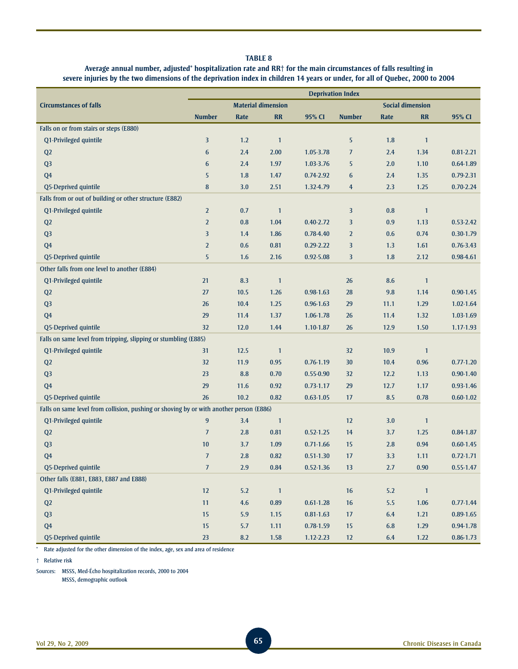## **Average annual number, adjusted\* hospitalization rate and RR† for the main circumstances of falls resulting in severe injuries by the two dimensions of the deprivation index in children 14 years or under, for all of Quebec, 2000 to 2004**

|                                                                                         | <b>Deprivation Index</b> |       |                           |               |                |       |                         |               |
|-----------------------------------------------------------------------------------------|--------------------------|-------|---------------------------|---------------|----------------|-------|-------------------------|---------------|
| <b>Circumstances of falls</b>                                                           |                          |       | <b>Material dimension</b> |               |                |       | <b>Social dimension</b> |               |
|                                                                                         | <b>Number</b>            | Rate  | <b>RR</b>                 | 95% CI        | <b>Number</b>  | Rate  | <b>RR</b>               | 95% CI        |
| Falls on or from stairs or steps (E880)                                                 |                          |       |                           |               |                |       |                         |               |
| Q1-Privileged quintile                                                                  | 3                        | 1.2   | $\mathbf{1}$              |               | 5              | 1.8   | $\overline{1}$          |               |
| Q2                                                                                      | 6                        | 2.4   | 2.00                      | 1.05-3.78     | $\overline{J}$ | 2.4   | 1.34                    | $0.81 - 2.21$ |
| Q <sub>3</sub>                                                                          | 6                        | 2.4   | 1.97                      | 1.03-3.76     | 5              | 2.0   | 1.10                    | $0.64 - 1.89$ |
| Q <sub>4</sub>                                                                          | 5                        | 1.8   | 1.47                      | 0.74-2.92     | 6              | 2.4   | 1.35                    | $0.79 - 2.31$ |
| Q5-Deprived quintile                                                                    | $\bf 8$                  | 3.0   | 2.51                      | 1.32-4.79     | $\overline{4}$ | 2.3   | 1.25                    | $0.70 - 2.24$ |
| Falls from or out of building or other structure (E882)                                 |                          |       |                           |               |                |       |                         |               |
| Q1-Privileged quintile                                                                  | $\overline{2}$           | 0.7   | $\mathbf{1}$              |               | 3              | 0.8   | $\mathbf{1}$            |               |
| Q <sub>2</sub>                                                                          | $\overline{2}$           | 0.8   | 1.04                      | $0.40 - 2.72$ | 3              | 0.9   | 1.13                    | $0.53 - 2.42$ |
| Q <sub>3</sub>                                                                          | 3                        | 1.4   | 1.86                      | $0.78 - 4.40$ | $\overline{2}$ | 0.6   | 0.74                    | $0.30 - 1.79$ |
| Q <sub>4</sub>                                                                          | $\overline{2}$           | 0.6   | 0.81                      | $0.29 - 2.22$ | 3              | 1.3   | 1.61                    | $0.76 - 3.43$ |
| Q5-Deprived quintile                                                                    | 5                        | 1.6   | 2.16                      | $0.92 - 5.08$ | 3              | 1.8   | 2.12                    | 0.98-4.61     |
| Other falls from one level to another (E884)                                            |                          |       |                           |               |                |       |                         |               |
| Q1-Privileged quintile                                                                  | 21                       | 8.3   | $\mathbf{1}$              |               | 26             | 8.6   | $\mathbf{1}$            |               |
| Q <sub>2</sub>                                                                          | 27                       | 10.5  | 1.26                      | $0.98 - 1.63$ | 28             | 9.8   | 1.14                    | $0.90 - 1.45$ |
| Q <sub>3</sub>                                                                          | 26                       | 10.4  | 1.25                      | $0.96 - 1.63$ | 29             | 11.1  | 1.29                    | $1.02 - 1.64$ |
| Q <sub>4</sub>                                                                          | 29                       | 11.4  | 1.37                      | 1.06-1.78     | 26             | 11.4  | 1.32                    | 1.03-1.69     |
| Q5-Deprived quintile                                                                    | 32                       | 12.0  | 1.44                      | 1.10-1.87     | 26             | 12.9  | 1.50                    | 1.17-1.93     |
| Falls on same level from tripping, slipping or stumbling (E885)                         |                          |       |                           |               |                |       |                         |               |
| Q1-Privileged quintile                                                                  | 31                       | 12.5  | $\mathbf{1}$              |               | 32             | 10.9  | $\mathbf{1}$            |               |
| Q <sub>2</sub>                                                                          | 32                       | 11.9  | 0.95                      | $0.76 - 1.19$ | 30             | 10.4  | 0.96                    | $0.77 - 1.20$ |
| Q <sub>3</sub>                                                                          | 23                       | 8.8   | 0.70                      | $0.55 - 0.90$ | 32             | 12.2  | 1.13                    | $0.90 - 1.40$ |
| Q <sub>4</sub>                                                                          | 29                       | 11.6  | 0.92                      | $0.73 - 1.17$ | 29             | 12.7  | 1.17                    | $0.93 - 1.46$ |
| Q5-Deprived quintile                                                                    | 26                       | 10.2  | 0.82                      | $0.63 - 1.05$ | 17             | 8.5   | 0.78                    | $0.60 - 1.02$ |
| Falls on same level from collision, pushing or shoving by or with another person (E886) |                          |       |                           |               |                |       |                         |               |
| Q1-Privileged quintile                                                                  | 9                        | 3.4   | $\mathbf{1}$              |               | 12             | 3.0   | $\mathbf{1}$            |               |
| Q2                                                                                      | $\overline{J}$           | 2.8   | 0.81                      | $0.52 - 1.25$ | 14             | 3.7   | 1.25                    | 0.84-1.87     |
| Q <sub>3</sub>                                                                          | 10                       | 3.7   | 1.09                      | $0.71 - 1.66$ | 15             | 2.8   | 0.94                    | $0.60 - 1.45$ |
| Q <sub>4</sub>                                                                          | $\overline{J}$           | 2.8   | 0.82                      | $0.51 - 1.30$ | 17             | 3.3   | 1.11                    | $0.72 - 1.71$ |
| Q5-Deprived quintile                                                                    | $\boldsymbol{7}$         | $2.9$ | $\bf 0.84$                | $0.52 - 1.36$ | 13             | $2.7$ | 0.90                    | $0.55 - 1.47$ |
| Other falls (E881, E883, E887 and E888)                                                 |                          |       |                           |               |                |       |                         |               |
| Q1-Privileged quintile                                                                  | 12                       | $5.2$ | $\mathbf{1}$              |               | 16             | 5.2   | $\overline{1}$          |               |
| Q2                                                                                      | 11                       | 4.6   | 0.89                      | $0.61 - 1.28$ | 16             | 5.5   | 1.06                    | $0.77 - 1.44$ |
| Q <sub>3</sub>                                                                          | 15                       | 5.9   | 1.15                      | $0.81 - 1.63$ | 17             | 6.4   | 1.21                    | $0.89 - 1.65$ |
| Q <sub>4</sub>                                                                          | 15                       | 5.7   | 1.11                      | $0.78 - 1.59$ | 15             | 6.8   | 1.29                    | 0.94-1.78     |
| Q5-Deprived quintile                                                                    | 23                       | 8.2   | 1.58                      | 1.12-2.23     | 12             | 6.4   | 1.22                    | $0.86 - 1.73$ |

\* Rate adjusted for the other dimension of the index, age, sex and area of residence

† Relative risk

Sources: MSSS, Med-Écho hospitalization records, 2000 to 2004

MSSS, demographic outlook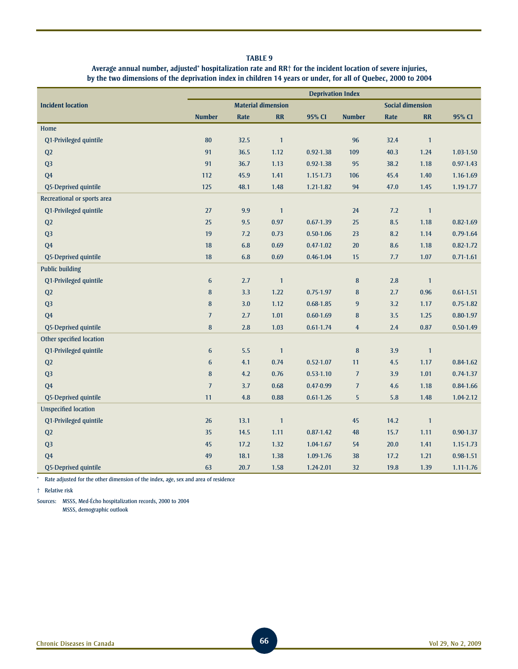## **Average annual number, adjusted\* hospitalization rate and RR† for the incident location of severe injuries, by the two dimensions of the deprivation index in children 14 years or under, for all of Quebec, 2000 to 2004**

|                             | <b>Deprivation Index</b> |      |                           |               |                |                         |              |               |
|-----------------------------|--------------------------|------|---------------------------|---------------|----------------|-------------------------|--------------|---------------|
| <b>Incident location</b>    |                          |      | <b>Material dimension</b> |               |                | <b>Social dimension</b> |              |               |
|                             | <b>Number</b>            | Rate | RR                        | 95% CI        | <b>Number</b>  | Rate                    | RR           | 95% CI        |
| Home                        |                          |      |                           |               |                |                         |              |               |
| Q1-Privileged quintile      | 80                       | 32.5 | $\mathbf{1}$              |               | 96             | 32.4                    | $\mathbf{1}$ |               |
| Q2                          | 91                       | 36.5 | 1.12                      | $0.92 - 1.38$ | 109            | 40.3                    | 1.24         | 1.03-1.50     |
| Q <sub>3</sub>              | 91                       | 36.7 | 1.13                      | $0.92 - 1.38$ | 95             | 38.2                    | 1.18         | $0.97 - 1.43$ |
| Q <sub>4</sub>              | 112                      | 45.9 | 1.41                      | 1.15-1.73     | 106            | 45.4                    | 1.40         | 1.16-1.69     |
| Q5-Deprived quintile        | 125                      | 48.1 | 1.48                      | 1.21-1.82     | 94             | 47.0                    | 1.45         | 1.19-1.77     |
| Recreational or sports area |                          |      |                           |               |                |                         |              |               |
| Q1-Privileged quintile      | 27                       | 9.9  | $\mathbf{1}$              |               | 24             | 7.2                     | $\mathbf{1}$ |               |
| Q2                          | 25                       | 9.5  | 0.97                      | $0.67 - 1.39$ | 25             | 8.5                     | 1.18         | $0.82 - 1.69$ |
| Q <sub>3</sub>              | 19                       | 7.2  | 0.73                      | $0.50 - 1.06$ | 23             | 8.2                     | 1.14         | $0.79 - 1.64$ |
| Q <sub>4</sub>              | 18                       | 6.8  | 0.69                      | $0.47 - 1.02$ | 20             | 8.6                     | 1.18         | $0.82 - 1.72$ |
| Q5-Deprived quintile        | 18                       | 6.8  | 0.69                      | $0.46 - 1.04$ | 15             | 7.7                     | 1.07         | $0.71 - 1.61$ |
| <b>Public building</b>      |                          |      |                           |               |                |                         |              |               |
| Q1-Privileged quintile      | 6                        | 2.7  | $\mathbf{1}$              |               | $\bf 8$        | 2.8                     | $\mathbf{1}$ |               |
| Q2                          | $\bf 8$                  | 3.3  | $1.22$                    | $0.75 - 1.97$ | $\bf 8$        | 2.7                     | 0.96         | $0.61 - 1.51$ |
| Q <sub>3</sub>              | 8                        | 3.0  | 1.12                      | $0.68 - 1.85$ | $\overline{9}$ | 3.2                     | 1.17         | $0.75 - 1.82$ |
| Q <sub>4</sub>              | $\overline{J}$           | 2.7  | 1.01                      | $0.60 - 1.69$ | $\bf 8$        | 3.5                     | 1.25         | $0.80 - 1.97$ |
| Q5-Deprived quintile        | 8                        | 2.8  | 1.03                      | $0.61 - 1.74$ | $\overline{4}$ | 2.4                     | 0.87         | $0.50 - 1.49$ |
| Other specified location    |                          |      |                           |               |                |                         |              |               |
| Q1-Privileged quintile      | 6                        | 5.5  | $\mathbf{1}$              |               | $\bf{8}$       | 3.9                     | $\mathbf{1}$ |               |
| Q2                          | 6                        | 4.1  | 0.74                      | $0.52 - 1.07$ | 11             | 4.5                     | 1.17         | $0.84 - 1.62$ |
| Q <sub>3</sub>              | 8                        | 4.2  | 0.76                      | $0.53 - 1.10$ | $\overline{J}$ | 3.9                     | 1.01         | $0.74 - 1.37$ |
| Q <sub>4</sub>              | $\overline{J}$           | 3.7  | 0.68                      | 0.47-0.99     | $\overline{J}$ | 4.6                     | 1.18         | 0.84-1.66     |
| Q5-Deprived quintile        | 11                       | 4.8  | 0.88                      | $0.61 - 1.26$ | 5              | 5.8                     | 1.48         | 1.04-2.12     |
| <b>Unspecified location</b> |                          |      |                           |               |                |                         |              |               |
| Q1-Privileged quintile      | 26                       | 13.1 | $\mathbf{1}$              |               | 45             | 14.2                    | $\mathbf{1}$ |               |
| Q2                          | 35                       | 14.5 | 1.11                      | $0.87 - 1.42$ | 48             | 15.7                    | 1.11         | $0.90 - 1.37$ |
| Q <sub>3</sub>              | 45                       | 17.2 | 1.32                      | 1.04-1.67     | 54             | 20.0                    | 1.41         | 1.15-1.73     |
| Q <sub>4</sub>              | 49                       | 18.1 | 1.38                      | 1.09-1.76     | 38             | 17.2                    | 1.21         | 0.98-1.51     |
| Q5-Deprived quintile        | 63                       | 20.7 | 1.58                      | 1.24-2.01     | 32             | 19.8                    | 1.39         | $1.11 - 1.76$ |

\* Rate adjusted for the other dimension of the index, age, sex and area of residence

† Relative risk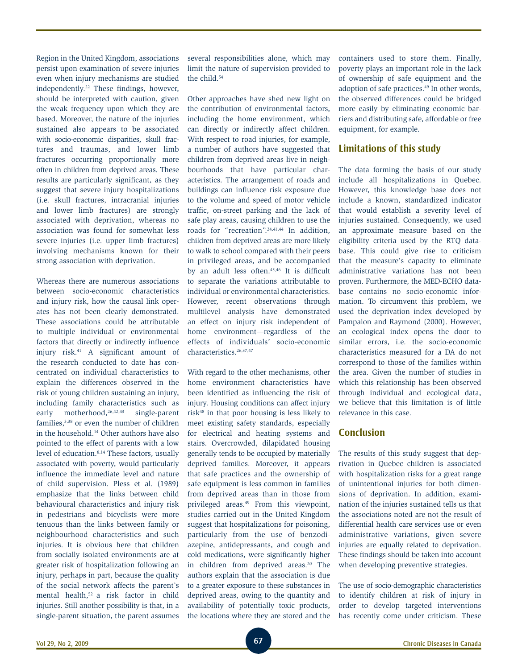Region in the United Kingdom, associations persist upon examination of severe injuries even when injury mechanisms are studied independently.22 These findings, however, should be interpreted with caution, given the weak frequency upon which they are based. Moreover, the nature of the injuries sustained also appears to be associated with socio-economic disparities, skull fractures and traumas, and lower limb fractures occurring proportionally more often in children from deprived areas. These results are particularly significant, as they suggest that severe injury hospitalizations (i.e. skull fractures, intracranial injuries and lower limb fractures) are strongly associated with deprivation, whereas no association was found for somewhat less severe injuries (i.e. upper limb fractures) involving mechanisms known for their strong association with deprivation.

Whereas there are numerous associations between socio-economic characteristics and injury risk, how the causal link operates has not been clearly demonstrated. These associations could be attributable to multiple individual or environmental factors that directly or indirectly influence injury risk.41 A significant amount of the research conducted to date has concentrated on individual characteristics to explain the differences observed in the risk of young children sustaining an injury, including family characteristics such as early motherhood,<sup>26,42,43</sup> single-parent families,3,38 or even the number of children in the household.14 Other authors have also pointed to the effect of parents with a low level of education.<sup>8,14</sup> These factors, usually associated with poverty, would particularly influence the immediate level and nature of child supervision. Pless et al. (1989) emphasize that the links between child behavioural characteristics and injury risk in pedestrians and bicyclists were more tenuous than the links between family or neighbourhood characteristics and such injuries. It is obvious here that children from socially isolated environments are at greater risk of hospitalization following an injury, perhaps in part, because the quality of the social network affects the parent's mental health,52 a risk factor in child injuries. Still another possibility is that, in a single-parent situation, the parent assumes several responsibilities alone, which may limit the nature of supervision provided to the child.<sup>54</sup>

Other approaches have shed new light on the contribution of environmental factors, including the home environment, which can directly or indirectly affect children. With respect to road injuries, for example, a number of authors have suggested that children from deprived areas live in neighbourhoods that have particular characteristics. The arrangement of roads and buildings can influence risk exposure due to the volume and speed of motor vehicle traffic, on-street parking and the lack of safe play areas, causing children to use the roads for "recreation".<sup>24,41,44</sup> In addition. children from deprived areas are more likely to walk to school compared with their peers in privileged areas, and be accompanied by an adult less often.45,46 It is difficult to separate the variations attributable to individual or environmental characteristics. However, recent observations through multilevel analysis have demonstrated an effect on injury risk independent of home environment—regardless of the effects of individuals' socio-economic characteristics.26,37,47

With regard to the other mechanisms, other home environment characteristics have been identified as influencing the risk of injury. Housing conditions can affect injury risk48 in that poor housing is less likely to meet existing safety standards, especially for electrical and heating systems and stairs. Overcrowded, dilapidated housing generally tends to be occupied by materially deprived families. Moreover, it appears that safe practices and the ownership of safe equipment is less common in families from deprived areas than in those from privileged areas.49 From this viewpoint, studies carried out in the United Kingdom suggest that hospitalizations for poisoning, particularly from the use of benzodiazepine, antidepressants, and cough and cold medications, were significantly higher in children from deprived areas.<sup>20</sup> The authors explain that the association is due to a greater exposure to these substances in deprived areas, owing to the quantity and availability of potentially toxic products, the locations where they are stored and the containers used to store them. Finally, poverty plays an important role in the lack of ownership of safe equipment and the adoption of safe practices.49 In other words, the observed differences could be bridged more easily by eliminating economic barriers and distributing safe, affordable or free equipment, for example.

## **Limitations of this study**

The data forming the basis of our study include all hospitalizations in Quebec. However, this knowledge base does not include a known, standardized indicator that would establish a severity level of injuries sustained. Consequently, we used an approximate measure based on the eligibility criteria used by the RTQ database. This could give rise to criticism that the measure's capacity to eliminate administrative variations has not been proven. Furthermore, the MED-ECHO database contains no socio-economic information. To circumvent this problem, we used the deprivation index developed by Pampalon and Raymond (2000). However, an ecological index opens the door to similar errors, i.e. the socio-economic characteristics measured for a DA do not correspond to those of the families within the area. Given the number of studies in which this relationship has been observed through individual and ecological data, we believe that this limitation is of little relevance in this case.

# **Conclusion**

The results of this study suggest that deprivation in Quebec children is associated with hospitalization risks for a great range of unintentional injuries for both dimensions of deprivation. In addition, examination of the injuries sustained tells us that the associations noted are not the result of differential health care services use or even administrative variations, given severe injuries are equally related to deprivation. These findings should be taken into account when developing preventive strategies.

The use of socio-demographic characteristics to identify children at risk of injury in order to develop targeted interventions has recently come under criticism. These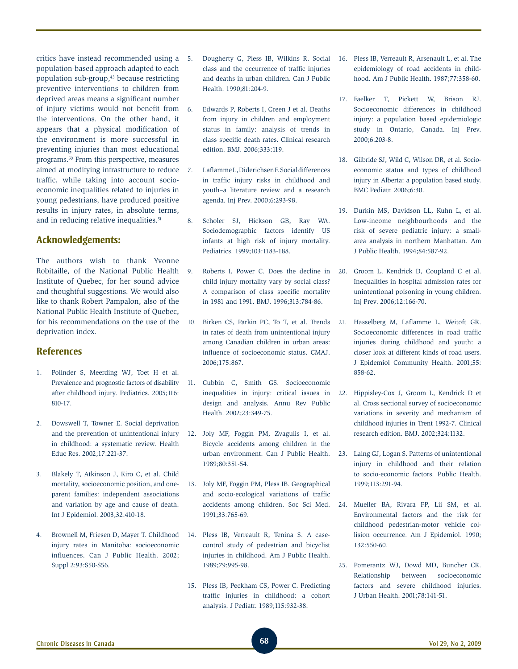critics have instead recommended using a population-based approach adapted to each population sub-group,43 because restricting preventive interventions to children from deprived areas means a significant number of injury victims would not benefit from the interventions. On the other hand, it appears that a physical modification of the environment is more successful in preventing injuries than most educational programs.50 From this perspective, measures aimed at modifying infrastructure to reduce traffic, while taking into account socioeconomic inequalities related to injuries in young pedestrians, have produced positive results in injury rates, in absolute terms, and in reducing relative inequalities.<sup>51</sup>

# **Acknowledgements:**

The authors wish to thank Yvonne Robitaille, of the National Public Health Institute of Quebec, for her sound advice and thoughtful suggestions. We would also like to thank Robert Pampalon, also of the National Public Health Institute of Quebec, for his recommendations on the use of the deprivation index.

# **References**

- 1. Polinder S, Meerding WJ, Toet H et al. Prevalence and prognostic factors of disability after childhood injury. Pediatrics. 2005;116: 810-17.
- 2. Dowswell T, Towner E. Social deprivation and the prevention of unintentional injury in childhood: a systematic review. Health Educ Res. 2002;17:221-37.
- 3. Blakely T, Atkinson J, Kiro C, et al. Child mortality, socioeconomic position, and oneparent families: independent associations and variation by age and cause of death. Int J Epidemiol. 2003;32:410-18.
- 4. Brownell M, Friesen D, Mayer T. Childhood injury rates in Manitoba: socioeconomic influences. Can J Public Health. 2002; Suppl 2:93:S50-S56.
- 5. Dougherty G, Pless IB, Wilkins R. Social class and the occurrence of traffic injuries and deaths in urban children. Can J Public Health. 1990;81:204-9.
- 6. Edwards P, Roberts I, Green J et al. Deaths from injury in children and employment status in family: analysis of trends in class specific death rates. Clinical research edition. BMJ. 2006;333:119.
- 7. Laflamme L, Diderichsen F. Social differences in traffic injury risks in childhood and youth–a literature review and a research agenda. Inj Prev. 2000;6:293-98.
- 8. Scholer SJ, Hickson GB, Ray WA. Sociodemographic factors identify US infants at high risk of injury mortality. Pediatrics. 1999;103:1183-188.
- 9. Roberts I, Power C. Does the decline in child injury mortality vary by social class? A comparison of class specific mortality in 1981 and 1991. BMJ. 1996;313:784-86.
- 10. Birken CS, Parkin PC, To T, et al. Trends in rates of death from unintentional injury among Canadian children in urban areas: influence of socioeconomic status. CMAJ. 2006;175:867.
- 11. Cubbin C, Smith GS. Socioeconomic inequalities in injury: critical issues in design and analysis. Annu Rev Public Health. 2002;23:349-75.
- 12. Joly MF, Foggin PM, Zvagulis I, et al. Bicycle accidents among children in the urban environment. Can J Public Health. 1989;80:351-54.
- 13. Joly MF, Foggin PM, Pless IB. Geographical and socio-ecological variations of traffic accidents among children. Soc Sci Med. 1991;33:765-69.
- 14. Pless IB, Verreault R, Tenina S. A casecontrol study of pedestrian and bicyclist injuries in childhood. Am J Public Health. 1989;79:995-98.
- 15. Pless IB, Peckham CS, Power C. Predicting traffic injuries in childhood: a cohort analysis. J Pediatr. 1989;115:932-38.
- 16. Pless IB, Verreault R, Arsenault L, et al. The epidemiology of road accidents in childhood. Am J Public Health. 1987;77:358-60.
- 17. Faelker T, Pickett W, Brison RJ. Socioeconomic differences in childhood injury: a population based epidemiologic study in Ontario, Canada. Inj Prev. 2000;6:203-8.
- 18. Gilbride SJ, Wild C, Wilson DR, et al. Socioeconomic status and types of childhood injury in Alberta: a population based study. BMC Pediatr. 2006;6:30.
- 19. Durkin MS, Davidson LL, Kuhn L, et al. Low-income neighbourhoods and the risk of severe pediatric injury: a smallarea analysis in northern Manhattan. Am J Public Health. 1994;84:587-92.
- 20. Groom L, Kendrick D, Coupland C et al. Inequalities in hospital admission rates for unintentional poisoning in young children. Inj Prev. 2006;12:166-70.
- 21. Hasselberg M, Laflamme L, Weitoft GR. Socioeconomic differences in road traffic injuries during childhood and youth: a closer look at different kinds of road users. J Epidemiol Community Health. 2001;55: 858-62.
- 22. Hippisley-Cox J, Groom L, Kendrick D et al. Cross sectional survey of socioeconomic variations in severity and mechanism of childhood injuries in Trent 1992-7. Clinical research edition. BMJ. 2002;324:1132.
- 23. Laing GJ, Logan S. Patterns of unintentional injury in childhood and their relation to socio-economic factors. Public Health. 1999;113:291-94.
- 24. Mueller BA, Rivara FP, Lii SM, et al. Environmental factors and the risk for childhood pedestrian-motor vehicle collision occurrence. Am J Epidemiol. 1990; 132:550-60.
- 25. Pomerantz WJ, Dowd MD, Buncher CR. Relationship between socioeconomic factors and severe childhood injuries. J Urban Health. 2001;78:141-51.